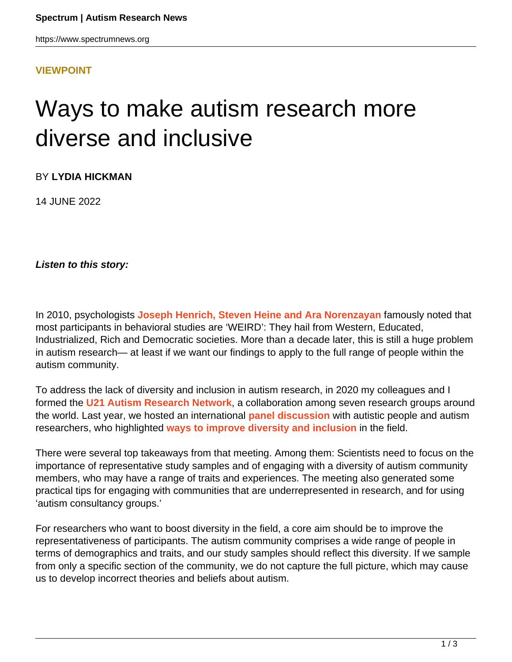## **[VIEWPOINT](HTTPS://WWW.SPECTRUMNEWS.ORG/OPINION/VIEWPOINT/)**

## Ways to make autism research more diverse and inclusive

BY **LYDIA HICKMAN**

14 JUNE 2022

**Listen to this story:**

In 2010, psychologists **[Joseph Henrich, Steven Heine and Ara Norenzayan](https://doi.org/10.1038/466029a)** famously noted that most participants in behavioral studies are 'WEIRD': They hail from Western, Educated, Industrialized, Rich and Democratic societies. More than a decade later, this is still a huge problem in autism research— at least if we want our findings to apply to the full range of people within the autism community.

To address the lack of diversity and inclusion in autism research, in 2020 my colleagues and I formed the **[U21 Autism Research Network](https://www.u21autismresearchnetwork.co.uk/)**, a collaboration among seven research groups around the world. Last year, we hosted an international **[panel discussion](https://www.youtube.com/watch?v=r5fXXbBmxpU&t=23s)** with autistic people and autism researchers, who highlighted **[ways to improve diversity and inclusion](https://www.u21autismresearchnetwork.co.uk/testimonials)** in the field.

There were several top takeaways from that meeting. Among them: Scientists need to focus on the importance of representative study samples and of engaging with a diversity of autism community members, who may have a range of traits and experiences. The meeting also generated some practical tips for engaging with communities that are underrepresented in research, and for using 'autism consultancy groups.'

For researchers who want to boost diversity in the field, a core aim should be to improve the representativeness of participants. The autism community comprises a wide range of people in terms of demographics and traits, and our study samples should reflect this diversity. If we sample from only a specific section of the community, we do not capture the full picture, which may cause us to develop incorrect theories and beliefs about autism.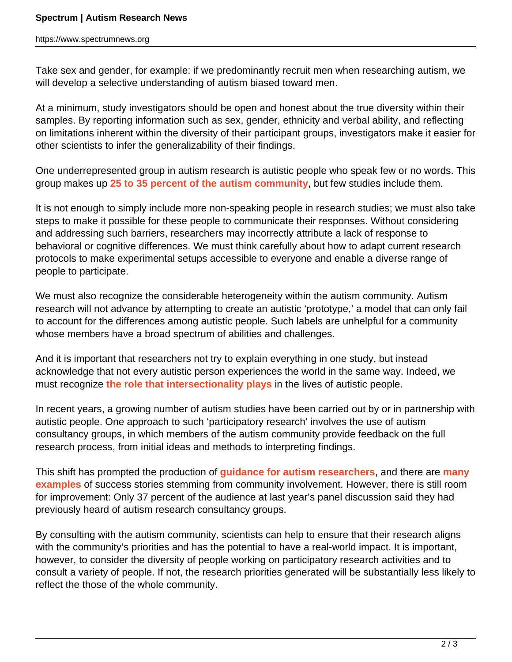Take sex and gender, for example: if we predominantly recruit men when researching autism, we will develop a selective understanding of autism biased toward men.

At a minimum, study investigators should be open and honest about the true diversity within their samples. By reporting information such as sex, gender, ethnicity and verbal ability, and reflecting on limitations inherent within the diversity of their participant groups, investigators make it easier for other scientists to infer the generalizability of their findings.

One underrepresented group in autism research is autistic people who speak few or no words. This group makes up **[25 to 35 percent of the autism community](https://doi.org/10.1111/jir.12284)**, but few studies include them.

It is not enough to simply include more non-speaking people in research studies; we must also take steps to make it possible for these people to communicate their responses. Without considering and addressing such barriers, researchers may incorrectly attribute a lack of response to behavioral or cognitive differences. We must think carefully about how to adapt current research protocols to make experimental setups accessible to everyone and enable a diverse range of people to participate.

We must also recognize the considerable heterogeneity within the autism community. Autism research will not advance by attempting to create an autistic 'prototype,' a model that can only fail to account for the differences among autistic people. Such labels are unhelpful for a community whose members have a broad spectrum of abilities and challenges.

And it is important that researchers not try to explain everything in one study, but instead acknowledge that not every autistic person experiences the world in the same way. Indeed, we must recognize **[the role that intersectionality plays](https://www.spectrumnews.org/opinion/viewpoint/autistic-while-black-how-autism-amplifies-stereotypes/)** in the lives of autistic people.

In recent years, a growing number of autism studies have been carried out by or in partnership with autistic people. One approach to such 'participatory research' involves the use of autism consultancy groups, in which members of the autism community provide feedback on the full research process, from initial ideas and methods to interpreting findings.

This shift has prompted the production of **[guidance for autism researchers](https://www.spectrumnews.org/news/six-steps-to-engaging-in-participatory-autism-research/)**, and there are **[many](https://www.spectrumnews.org/features/deep-dive/the-promise-of-scientific-partnerships-with-people-on-the-spectrum/) [examples](https://www.spectrumnews.org/features/deep-dive/the-promise-of-scientific-partnerships-with-people-on-the-spectrum/)** of success stories stemming from community involvement. However, there is still room for improvement: Only 37 percent of the audience at last year's panel discussion said they had previously heard of autism research consultancy groups.

By consulting with the autism community, scientists can help to ensure that their research aligns with the community's priorities and has the potential to have a real-world impact. It is important, however, to consider the diversity of people working on participatory research activities and to consult a variety of people. If not, the research priorities generated will be substantially less likely to reflect the those of the whole community.